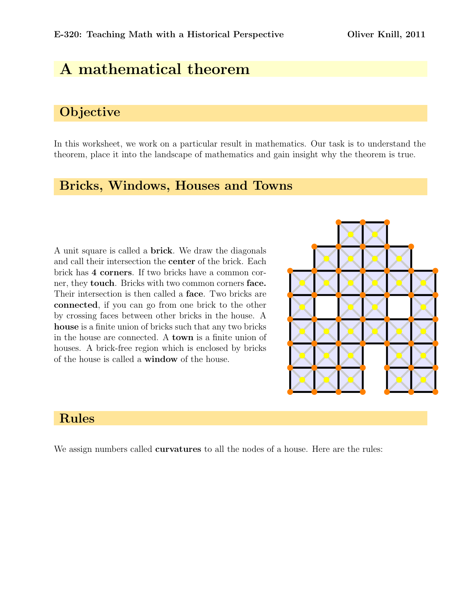# A mathematical theorem

## **Objective**

In this worksheet, we work on a particular result in mathematics. Our task is to understand the theorem, place it into the landscape of mathematics and gain insight why the theorem is true.

#### Bricks, Windows, Houses and Towns

A unit square is called a brick. We draw the diagonals and call their intersection the center of the brick. Each brick has 4 corners. If two bricks have a common corner, they touch. Bricks with two common corners face. Their intersection is then called a face. Two bricks are connected, if you can go from one brick to the other by crossing faces between other bricks in the house. A house is a finite union of bricks such that any two bricks in the house are connected. A town is a finite union of houses. A brick-free region which is enclosed by bricks of the house is called a window of the house.



# Rules

We assign numbers called **curvatures** to all the nodes of a house. Here are the rules: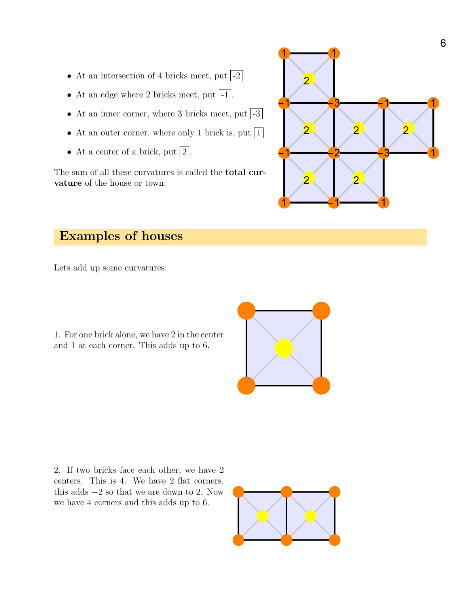- At an intersection of 4 bricks meet, put  $\vert -2 \vert$ .
- At an edge where 2 bricks meet, put  $\vert$ -1.
- At an inner corner, where 3 bricks meet, put  $\vert -3 \vert$
- At an outer corner, where only 1 brick is, put  $|1|$
- At a center of a brick, put  $|2|$ .

The sum of all these curvatures is called the total curvature of the house or town.



# Examples of houses

Lets add up some curvatures:

1. For one brick alone, we have 2 in the center and 1 at each corner. This adds up to 6.





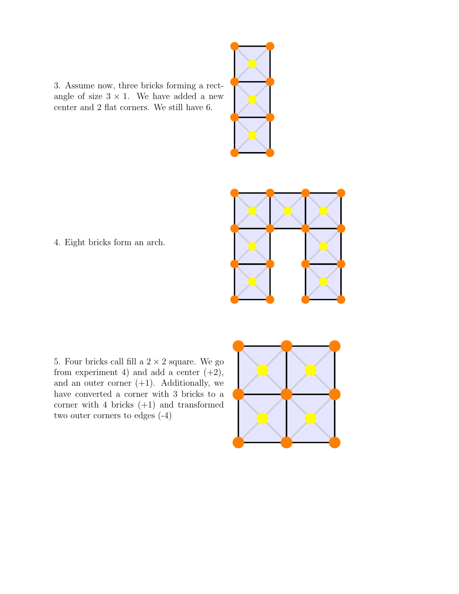3. Assume now, three bricks forming a rectangle of size  $3 \times 1$ . We have added a new center and 2 flat corners. We still have 6.



4. Eight bricks form an arch.

5. Four bricks call fill a  $2\times 2$  square. We go from experiment 4) and add a center  $(+2)$ , and an outer corner  $(+1)$ . Additionally, we have converted a corner with 3 bricks to a corner with 4 bricks (+1) and transformed two outer corners to edges (-4)



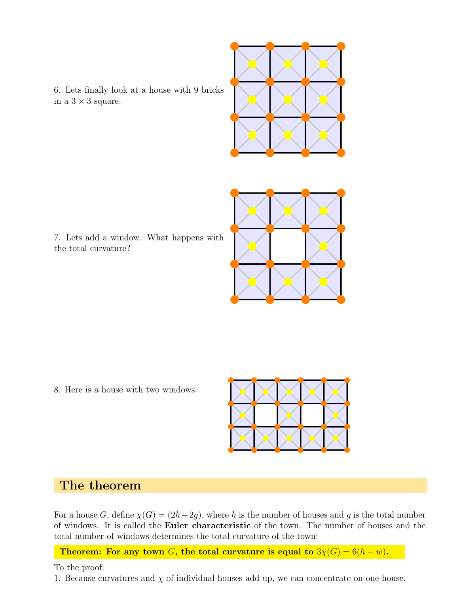

6. Lets finally look at a house with 9 bricks in a  $3 \times 3$  square.

7. Lets add a window. What happens with the total curvature?



8. Here is a house with two windows.



### The theorem

For a house G, define  $\chi(G) = (2h-2g)$ , where h is the number of houses and g is the total number of windows. It is called the Euler characteristic of the town. The number of houses and the total number of windows determines the total curvature of the town:

Theorem: For any town G, the total curvature is equal to  $3\chi(G) = 6(h - w)$ .

To the proof:

1. Because curvatures and  $\chi$  of individual houses add up, we can concentrate on one house.